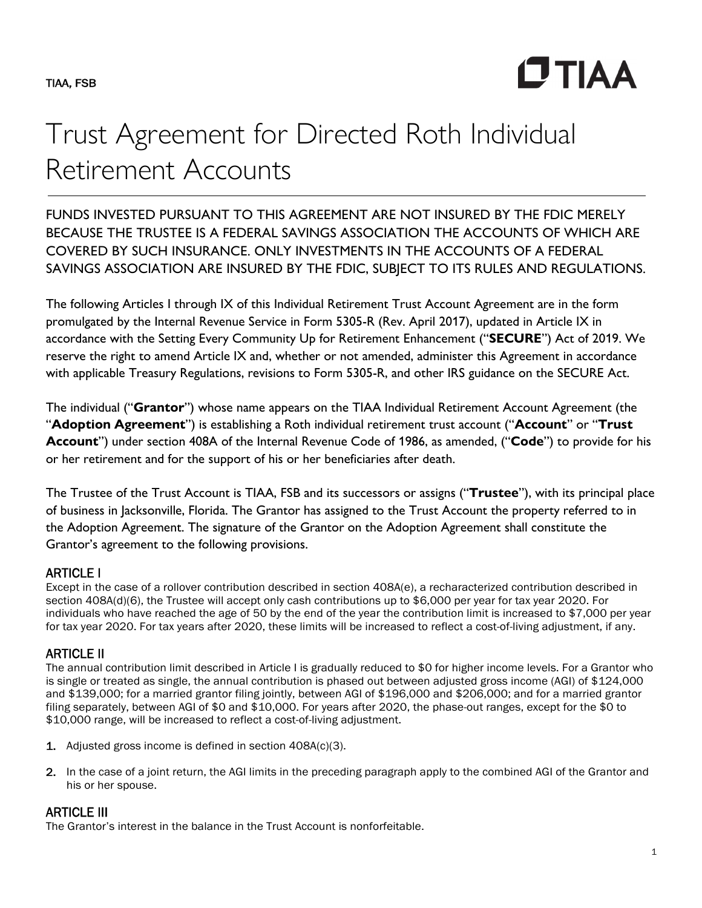

# Trust Agreement for Directed Roth Individual Retirement Accounts

FUNDS INVESTED PURSUANT TO THIS AGREEMENT ARE NOT INSURED BY THE FDIC MERELY BECAUSE THE TRUSTEE IS A FEDERAL SAVINGS ASSOCIATION THE ACCOUNTS OF WHICH ARE COVERED BY SUCH INSURANCE. ONLY INVESTMENTS IN THE ACCOUNTS OF A FEDERAL SAVINGS ASSOCIATION ARE INSURED BY THE FDIC, SUBJECT TO ITS RULES AND REGULATIONS.

The following Articles I through IX of this Individual Retirement Trust Account Agreement are in the form promulgated by the Internal Revenue Service in Form 5305-R (Rev. April 2017), updated in Article IX in accordance with the Setting Every Community Up for Retirement Enhancement ("**SECURE**") Act of 2019. We reserve the right to amend Article IX and, whether or not amended, administer this Agreement in accordance with applicable Treasury Regulations, revisions to Form 5305-R, and other IRS guidance on the SECURE Act.

The individual ("**Grantor**") whose name appears on the TIAA Individual Retirement Account Agreement (the "**Adoption Agreement**") is establishing a Roth individual retirement trust account ("**Account**" or "**Trust Account**") under section 408A of the Internal Revenue Code of 1986, as amended, ("**Code**") to provide for his or her retirement and for the support of his or her beneficiaries after death.

The Trustee of the Trust Account is TIAA, FSB and its successors or assigns ("**Trustee**"), with its principal place of business in Jacksonville, Florida. The Grantor has assigned to the Trust Account the property referred to in the Adoption Agreement. The signature of the Grantor on the Adoption Agreement shall constitute the Grantor's agreement to the following provisions.

# ARTICLE I

Except in the case of a rollover contribution described in section 408A(e), a recharacterized contribution described in section 408A(d)(6), the Trustee will accept only cash contributions up to \$6,000 per year for tax year 2020. For individuals who have reached the age of 50 by the end of the year the contribution limit is increased to \$7,000 per year for tax year 2020. For tax years after 2020, these limits will be increased to reflect a cost-of-living adjustment, if any.

# ARTICLE II

The annual contribution limit described in Article I is gradually reduced to \$0 for higher income levels. For a Grantor who is single or treated as single, the annual contribution is phased out between adjusted gross income (AGI) of \$124,000 and \$139,000; for a married grantor filing jointly, between AGI of \$196,000 and \$206,000; and for a married grantor filing separately, between AGI of \$0 and \$10,000. For years after 2020, the phase-out ranges, except for the \$0 to \$10,000 range, will be increased to reflect a cost-of-living adjustment.

- 1. Adjusted gross income is defined in section 408A(c)(3).
- 2. In the case of a joint return, the AGI limits in the preceding paragraph apply to the combined AGI of the Grantor and his or her spouse.

# **ARTICLE III**

The Grantor's interest in the balance in the Trust Account is nonforfeitable.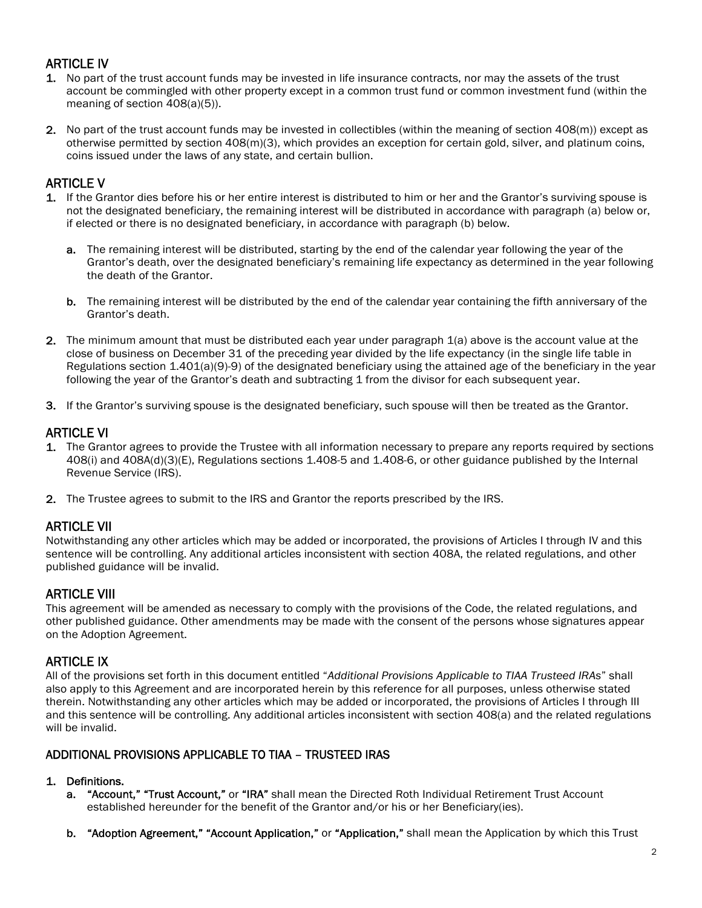# ARTICLE IV

- 1. No part of the trust account funds may be invested in life insurance contracts, nor may the assets of the trust account be commingled with other property except in a common trust fund or common investment fund (within the meaning of section 408(a)(5)).
- 2. No part of the trust account funds may be invested in collectibles (within the meaning of section 408(m)) except as otherwise permitted by section 408(m)(3), which provides an exception for certain gold, silver, and platinum coins, coins issued under the laws of any state, and certain bullion.

# ARTICLE V

- 1. If the Grantor dies before his or her entire interest is distributed to him or her and the Grantor's surviving spouse is not the designated beneficiary, the remaining interest will be distributed in accordance with paragraph (a) below or, if elected or there is no designated beneficiary, in accordance with paragraph (b) below.
	- a. The remaining interest will be distributed, starting by the end of the calendar year following the year of the Grantor's death, over the designated beneficiary's remaining life expectancy as determined in the year following the death of the Grantor.
	- b. The remaining interest will be distributed by the end of the calendar year containing the fifth anniversary of the Grantor's death.
- 2. The minimum amount that must be distributed each year under paragraph 1(a) above is the account value at the close of business on December 31 of the preceding year divided by the life expectancy (in the single life table in Regulations section 1.401(a)(9)-9) of the designated beneficiary using the attained age of the beneficiary in the year following the year of the Grantor's death and subtracting 1 from the divisor for each subsequent year.
- 3. If the Grantor's surviving spouse is the designated beneficiary, such spouse will then be treated as the Grantor.

# ARTICLE VI

- 1. The Grantor agrees to provide the Trustee with all information necessary to prepare any reports required by sections 408(i) and 408A(d)(3)(E), Regulations sections 1.408-5 and 1.408-6, or other guidance published by the Internal Revenue Service (IRS).
- 2. The Trustee agrees to submit to the IRS and Grantor the reports prescribed by the IRS.

# ARTICLE VII

Notwithstanding any other articles which may be added or incorporated, the provisions of Articles I through IV and this sentence will be controlling. Any additional articles inconsistent with section 408A, the related regulations, and other published guidance will be invalid.

# ARTICLE VIII

This agreement will be amended as necessary to comply with the provisions of the Code, the related regulations, and other published guidance. Other amendments may be made with the consent of the persons whose signatures appear on the Adoption Agreement.

## ARTICLE IX

All of the provisions set forth in this document entitled "*Additional Provisions Applicable to TIAA Trusteed IRAs*" shall also apply to this Agreement and are incorporated herein by this reference for all purposes, unless otherwise stated therein. Notwithstanding any other articles which may be added or incorporated, the provisions of Articles I through III and this sentence will be controlling. Any additional articles inconsistent with section 408(a) and the related regulations will be invalid.

#### ADDITIONAL PROVISIONS APPLICABLE TO TIAA – TRUSTEED IRAS

#### 1. Definitions.

- a. "Account," "Trust Account," or "IRA" shall mean the Directed Roth Individual Retirement Trust Account established hereunder for the benefit of the Grantor and/or his or her Beneficiary(ies).
- b. "Adoption Agreement," "Account Application," or "Application," shall mean the Application by which this Trust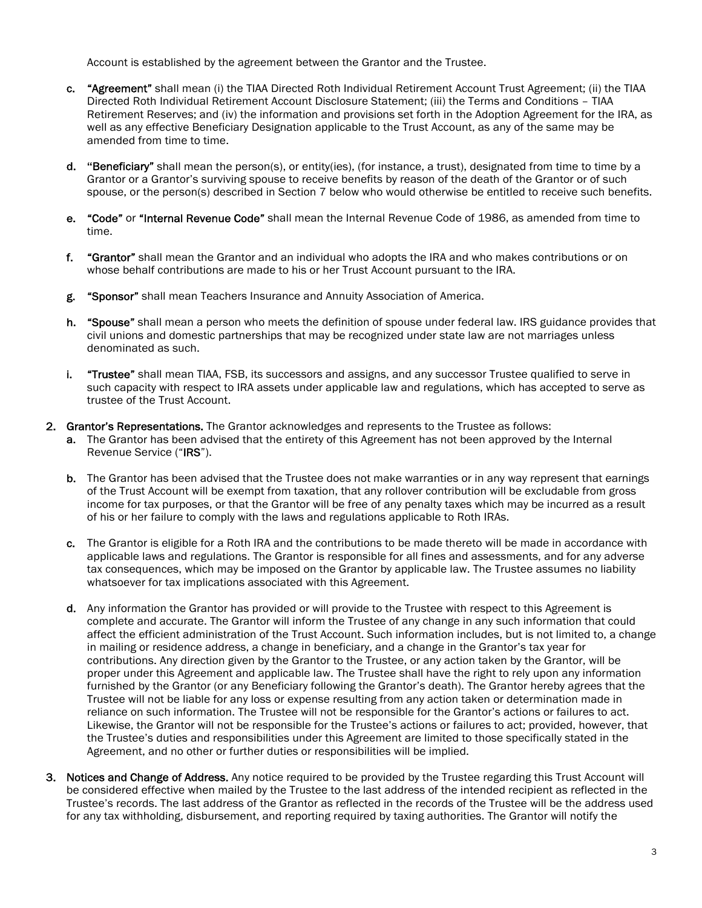Account is established by the agreement between the Grantor and the Trustee.

- c. "Agreement" shall mean (i) the TIAA Directed Roth Individual Retirement Account Trust Agreement; (ii) the TIAA Directed Roth Individual Retirement Account Disclosure Statement; (iii) the Terms and Conditions – TIAA Retirement Reserves; and (iv) the information and provisions set forth in the Adoption Agreement for the IRA, as well as any effective Beneficiary Designation applicable to the Trust Account, as any of the same may be amended from time to time.
- d. **"**Beneficiary" shall mean the person(s), or entity(ies), (for instance, a trust), designated from time to time by a Grantor or a Grantor's surviving spouse to receive benefits by reason of the death of the Grantor or of such spouse, or the person(s) described in Section 7 below who would otherwise be entitled to receive such benefits.
- e. "Code" or "Internal Revenue Code" shall mean the Internal Revenue Code of 1986, as amended from time to time.
- f. "Grantor" shall mean the Grantor and an individual who adopts the IRA and who makes contributions or on whose behalf contributions are made to his or her Trust Account pursuant to the IRA.
- g. "Sponsor" shall mean Teachers Insurance and Annuity Association of America.
- h. "Spouse" shall mean a person who meets the definition of spouse under federal law. IRS guidance provides that civil unions and domestic partnerships that may be recognized under state law are not marriages unless denominated as such.
- i. "Trustee" shall mean TIAA, FSB, its successors and assigns, and any successor Trustee qualified to serve in such capacity with respect to IRA assets under applicable law and regulations, which has accepted to serve as trustee of the Trust Account.
- 2. Grantor's Representations. The Grantor acknowledges and represents to the Trustee as follows:
	- a. The Grantor has been advised that the entirety of this Agreement has not been approved by the Internal Revenue Service ("IRS").
	- b. The Grantor has been advised that the Trustee does not make warranties or in any way represent that earnings of the Trust Account will be exempt from taxation, that any rollover contribution will be excludable from gross income for tax purposes, or that the Grantor will be free of any penalty taxes which may be incurred as a result of his or her failure to comply with the laws and regulations applicable to Roth IRAs.
	- c. The Grantor is eligible for a Roth IRA and the contributions to be made thereto will be made in accordance with applicable laws and regulations. The Grantor is responsible for all fines and assessments, and for any adverse tax consequences, which may be imposed on the Grantor by applicable law. The Trustee assumes no liability whatsoever for tax implications associated with this Agreement.
	- d. Any information the Grantor has provided or will provide to the Trustee with respect to this Agreement is complete and accurate. The Grantor will inform the Trustee of any change in any such information that could affect the efficient administration of the Trust Account. Such information includes, but is not limited to, a change in mailing or residence address, a change in beneficiary, and a change in the Grantor's tax year for contributions. Any direction given by the Grantor to the Trustee, or any action taken by the Grantor, will be proper under this Agreement and applicable law. The Trustee shall have the right to rely upon any information furnished by the Grantor (or any Beneficiary following the Grantor's death). The Grantor hereby agrees that the Trustee will not be liable for any loss or expense resulting from any action taken or determination made in reliance on such information. The Trustee will not be responsible for the Grantor's actions or failures to act. Likewise, the Grantor will not be responsible for the Trustee's actions or failures to act; provided, however, that the Trustee's duties and responsibilities under this Agreement are limited to those specifically stated in the Agreement, and no other or further duties or responsibilities will be implied.
- 3. Notices and Change of Address. Any notice required to be provided by the Trustee regarding this Trust Account will be considered effective when mailed by the Trustee to the last address of the intended recipient as reflected in the Trustee's records. The last address of the Grantor as reflected in the records of the Trustee will be the address used for any tax withholding, disbursement, and reporting required by taxing authorities. The Grantor will notify the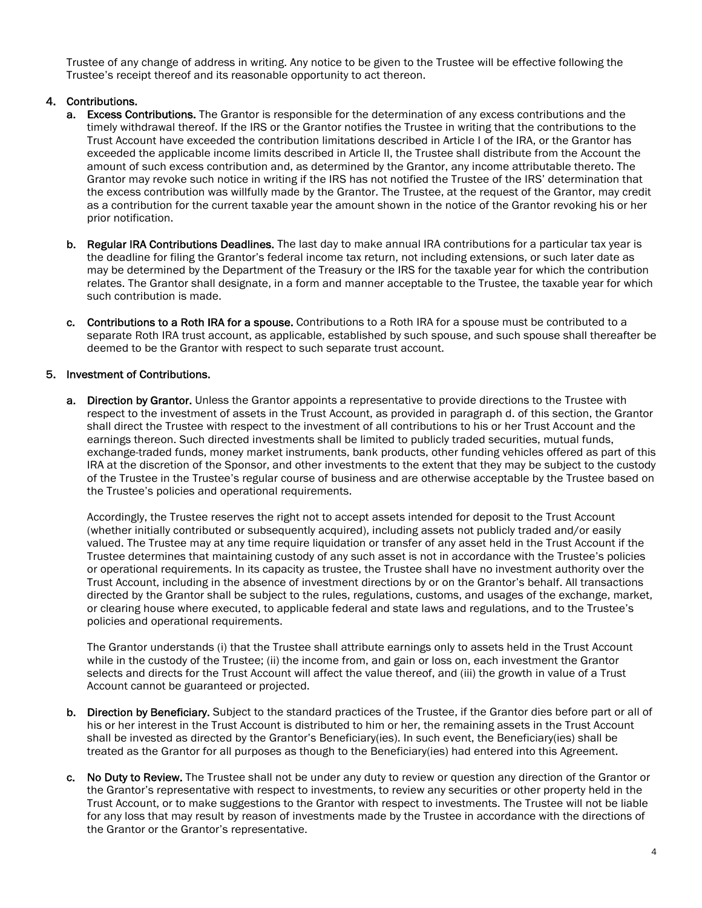Trustee of any change of address in writing. Any notice to be given to the Trustee will be effective following the Trustee's receipt thereof and its reasonable opportunity to act thereon.

#### 4. Contributions.

- a. Excess Contributions. The Grantor is responsible for the determination of any excess contributions and the timely withdrawal thereof. If the IRS or the Grantor notifies the Trustee in writing that the contributions to the Trust Account have exceeded the contribution limitations described in Article I of the IRA, or the Grantor has exceeded the applicable income limits described in Article II, the Trustee shall distribute from the Account the amount of such excess contribution and, as determined by the Grantor, any income attributable thereto. The Grantor may revoke such notice in writing if the IRS has not notified the Trustee of the IRS' determination that the excess contribution was willfully made by the Grantor. The Trustee, at the request of the Grantor, may credit as a contribution for the current taxable year the amount shown in the notice of the Grantor revoking his or her prior notification.
- b. Regular IRA Contributions Deadlines. The last day to make annual IRA contributions for a particular tax year is the deadline for filing the Grantor's federal income tax return, not including extensions, or such later date as may be determined by the Department of the Treasury or the IRS for the taxable year for which the contribution relates. The Grantor shall designate, in a form and manner acceptable to the Trustee, the taxable year for which such contribution is made.
- c. Contributions to a Roth IRA for a spouse. Contributions to a Roth IRA for a spouse must be contributed to a separate Roth IRA trust account, as applicable, established by such spouse, and such spouse shall thereafter be deemed to be the Grantor with respect to such separate trust account.

#### 5. Investment of Contributions.

a. Direction by Grantor. Unless the Grantor appoints a representative to provide directions to the Trustee with respect to the investment of assets in the Trust Account, as provided in paragraph d. of this section, the Grantor shall direct the Trustee with respect to the investment of all contributions to his or her Trust Account and the earnings thereon. Such directed investments shall be limited to publicly traded securities, mutual funds, exchange-traded funds, money market instruments, bank products, other funding vehicles offered as part of this IRA at the discretion of the Sponsor, and other investments to the extent that they may be subject to the custody of the Trustee in the Trustee's regular course of business and are otherwise acceptable by the Trustee based on the Trustee's policies and operational requirements.

Accordingly, the Trustee reserves the right not to accept assets intended for deposit to the Trust Account (whether initially contributed or subsequently acquired), including assets not publicly traded and/or easily valued. The Trustee may at any time require liquidation or transfer of any asset held in the Trust Account if the Trustee determines that maintaining custody of any such asset is not in accordance with the Trustee's policies or operational requirements. In its capacity as trustee, the Trustee shall have no investment authority over the Trust Account, including in the absence of investment directions by or on the Grantor's behalf. All transactions directed by the Grantor shall be subject to the rules, regulations, customs, and usages of the exchange, market, or clearing house where executed, to applicable federal and state laws and regulations, and to the Trustee's policies and operational requirements.

The Grantor understands (i) that the Trustee shall attribute earnings only to assets held in the Trust Account while in the custody of the Trustee; (ii) the income from, and gain or loss on, each investment the Grantor selects and directs for the Trust Account will affect the value thereof, and (iii) the growth in value of a Trust Account cannot be guaranteed or projected.

- b. Direction by Beneficiary. Subject to the standard practices of the Trustee, if the Grantor dies before part or all of his or her interest in the Trust Account is distributed to him or her, the remaining assets in the Trust Account shall be invested as directed by the Grantor's Beneficiary(ies). In such event, the Beneficiary(ies) shall be treated as the Grantor for all purposes as though to the Beneficiary(ies) had entered into this Agreement.
- c. No Duty to Review. The Trustee shall not be under any duty to review or question any direction of the Grantor or the Grantor's representative with respect to investments, to review any securities or other property held in the Trust Account, or to make suggestions to the Grantor with respect to investments. The Trustee will not be liable for any loss that may result by reason of investments made by the Trustee in accordance with the directions of the Grantor or the Grantor's representative.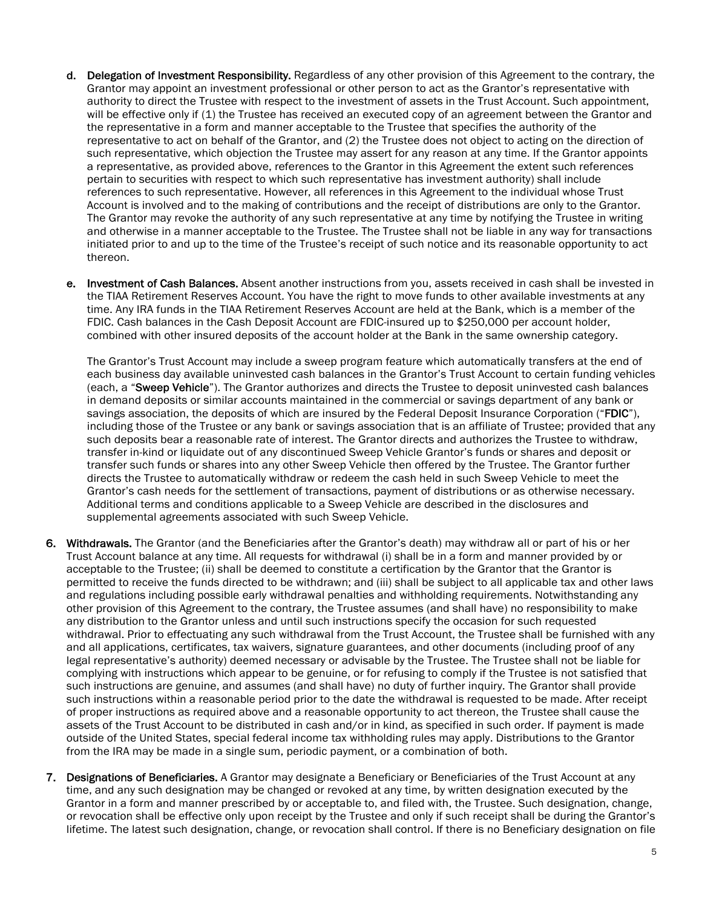- d. Delegation of Investment Responsibility. Regardless of any other provision of this Agreement to the contrary, the Grantor may appoint an investment professional or other person to act as the Grantor's representative with authority to direct the Trustee with respect to the investment of assets in the Trust Account. Such appointment, will be effective only if (1) the Trustee has received an executed copy of an agreement between the Grantor and the representative in a form and manner acceptable to the Trustee that specifies the authority of the representative to act on behalf of the Grantor, and (2) the Trustee does not object to acting on the direction of such representative, which objection the Trustee may assert for any reason at any time. If the Grantor appoints a representative, as provided above, references to the Grantor in this Agreement the extent such references pertain to securities with respect to which such representative has investment authority) shall include references to such representative. However, all references in this Agreement to the individual whose Trust Account is involved and to the making of contributions and the receipt of distributions are only to the Grantor. The Grantor may revoke the authority of any such representative at any time by notifying the Trustee in writing and otherwise in a manner acceptable to the Trustee. The Trustee shall not be liable in any way for transactions initiated prior to and up to the time of the Trustee's receipt of such notice and its reasonable opportunity to act thereon.
- e. Investment of Cash Balances. Absent another instructions from you, assets received in cash shall be invested in the TIAA Retirement Reserves Account. You have the right to move funds to other available investments at any time. Any IRA funds in the TIAA Retirement Reserves Account are held at the Bank, which is a member of the FDIC. Cash balances in the Cash Deposit Account are FDIC-insured up to \$250,000 per account holder, combined with other insured deposits of the account holder at the Bank in the same ownership category.

The Grantor's Trust Account may include a sweep program feature which automatically transfers at the end of each business day available uninvested cash balances in the Grantor's Trust Account to certain funding vehicles (each, a "Sweep Vehicle"). The Grantor authorizes and directs the Trustee to deposit uninvested cash balances in demand deposits or similar accounts maintained in the commercial or savings department of any bank or savings association, the deposits of which are insured by the Federal Deposit Insurance Corporation ("FDIC"), including those of the Trustee or any bank or savings association that is an affiliate of Trustee; provided that any such deposits bear a reasonable rate of interest. The Grantor directs and authorizes the Trustee to withdraw, transfer in-kind or liquidate out of any discontinued Sweep Vehicle Grantor's funds or shares and deposit or transfer such funds or shares into any other Sweep Vehicle then offered by the Trustee. The Grantor further directs the Trustee to automatically withdraw or redeem the cash held in such Sweep Vehicle to meet the Grantor's cash needs for the settlement of transactions, payment of distributions or as otherwise necessary. Additional terms and conditions applicable to a Sweep Vehicle are described in the disclosures and supplemental agreements associated with such Sweep Vehicle.

- 6. Withdrawals. The Grantor (and the Beneficiaries after the Grantor's death) may withdraw all or part of his or her Trust Account balance at any time. All requests for withdrawal (i) shall be in a form and manner provided by or acceptable to the Trustee; (ii) shall be deemed to constitute a certification by the Grantor that the Grantor is permitted to receive the funds directed to be withdrawn; and (iii) shall be subject to all applicable tax and other laws and regulations including possible early withdrawal penalties and withholding requirements. Notwithstanding any other provision of this Agreement to the contrary, the Trustee assumes (and shall have) no responsibility to make any distribution to the Grantor unless and until such instructions specify the occasion for such requested withdrawal. Prior to effectuating any such withdrawal from the Trust Account, the Trustee shall be furnished with any and all applications, certificates, tax waivers, signature guarantees, and other documents (including proof of any legal representative's authority) deemed necessary or advisable by the Trustee. The Trustee shall not be liable for complying with instructions which appear to be genuine, or for refusing to comply if the Trustee is not satisfied that such instructions are genuine, and assumes (and shall have) no duty of further inquiry. The Grantor shall provide such instructions within a reasonable period prior to the date the withdrawal is requested to be made. After receipt of proper instructions as required above and a reasonable opportunity to act thereon, the Trustee shall cause the assets of the Trust Account to be distributed in cash and/or in kind, as specified in such order. If payment is made outside of the United States, special federal income tax withholding rules may apply. Distributions to the Grantor from the IRA may be made in a single sum, periodic payment, or a combination of both.
- 7. Designations of Beneficiaries. A Grantor may designate a Beneficiary or Beneficiaries of the Trust Account at any time, and any such designation may be changed or revoked at any time, by written designation executed by the Grantor in a form and manner prescribed by or acceptable to, and filed with, the Trustee. Such designation, change, or revocation shall be effective only upon receipt by the Trustee and only if such receipt shall be during the Grantor's lifetime. The latest such designation, change, or revocation shall control. If there is no Beneficiary designation on file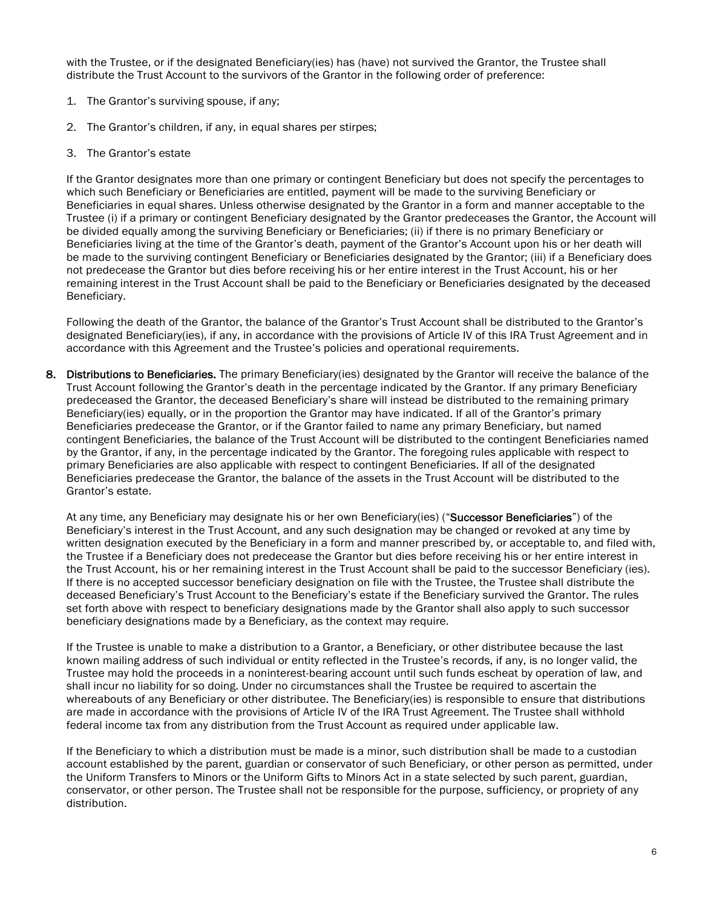with the Trustee, or if the designated Beneficiary(ies) has (have) not survived the Grantor, the Trustee shall distribute the Trust Account to the survivors of the Grantor in the following order of preference:

- 1. The Grantor's surviving spouse, if any;
- 2. The Grantor's children, if any, in equal shares per stirpes;
- 3. The Grantor's estate

If the Grantor designates more than one primary or contingent Beneficiary but does not specify the percentages to which such Beneficiary or Beneficiaries are entitled, payment will be made to the surviving Beneficiary or Beneficiaries in equal shares. Unless otherwise designated by the Grantor in a form and manner acceptable to the Trustee (i) if a primary or contingent Beneficiary designated by the Grantor predeceases the Grantor, the Account will be divided equally among the surviving Beneficiary or Beneficiaries; (ii) if there is no primary Beneficiary or Beneficiaries living at the time of the Grantor's death, payment of the Grantor's Account upon his or her death will be made to the surviving contingent Beneficiary or Beneficiaries designated by the Grantor; (iii) if a Beneficiary does not predecease the Grantor but dies before receiving his or her entire interest in the Trust Account, his or her remaining interest in the Trust Account shall be paid to the Beneficiary or Beneficiaries designated by the deceased Beneficiary.

Following the death of the Grantor, the balance of the Grantor's Trust Account shall be distributed to the Grantor's designated Beneficiary(ies), if any, in accordance with the provisions of Article IV of this IRA Trust Agreement and in accordance with this Agreement and the Trustee's policies and operational requirements.

8. Distributions to Beneficiaries. The primary Beneficiary(ies) designated by the Grantor will receive the balance of the Trust Account following the Grantor's death in the percentage indicated by the Grantor. If any primary Beneficiary predeceased the Grantor, the deceased Beneficiary's share will instead be distributed to the remaining primary Beneficiary(ies) equally, or in the proportion the Grantor may have indicated. If all of the Grantor's primary Beneficiaries predecease the Grantor, or if the Grantor failed to name any primary Beneficiary, but named contingent Beneficiaries, the balance of the Trust Account will be distributed to the contingent Beneficiaries named by the Grantor, if any, in the percentage indicated by the Grantor. The foregoing rules applicable with respect to primary Beneficiaries are also applicable with respect to contingent Beneficiaries. If all of the designated Beneficiaries predecease the Grantor, the balance of the assets in the Trust Account will be distributed to the Grantor's estate.

At any time, any Beneficiary may designate his or her own Beneficiary(ies) ("Successor Beneficiaries") of the Beneficiary's interest in the Trust Account, and any such designation may be changed or revoked at any time by written designation executed by the Beneficiary in a form and manner prescribed by, or acceptable to, and filed with, the Trustee if a Beneficiary does not predecease the Grantor but dies before receiving his or her entire interest in the Trust Account, his or her remaining interest in the Trust Account shall be paid to the successor Beneficiary (ies). If there is no accepted successor beneficiary designation on file with the Trustee, the Trustee shall distribute the deceased Beneficiary's Trust Account to the Beneficiary's estate if the Beneficiary survived the Grantor. The rules set forth above with respect to beneficiary designations made by the Grantor shall also apply to such successor beneficiary designations made by a Beneficiary, as the context may require.

If the Trustee is unable to make a distribution to a Grantor, a Beneficiary, or other distributee because the last known mailing address of such individual or entity reflected in the Trustee's records, if any, is no longer valid, the Trustee may hold the proceeds in a noninterest-bearing account until such funds escheat by operation of law, and shall incur no liability for so doing. Under no circumstances shall the Trustee be required to ascertain the whereabouts of any Beneficiary or other distributee. The Beneficiary(ies) is responsible to ensure that distributions are made in accordance with the provisions of Article IV of the IRA Trust Agreement. The Trustee shall withhold federal income tax from any distribution from the Trust Account as required under applicable law.

If the Beneficiary to which a distribution must be made is a minor, such distribution shall be made to a custodian account established by the parent, guardian or conservator of such Beneficiary, or other person as permitted, under the Uniform Transfers to Minors or the Uniform Gifts to Minors Act in a state selected by such parent, guardian, conservator, or other person. The Trustee shall not be responsible for the purpose, sufficiency, or propriety of any distribution.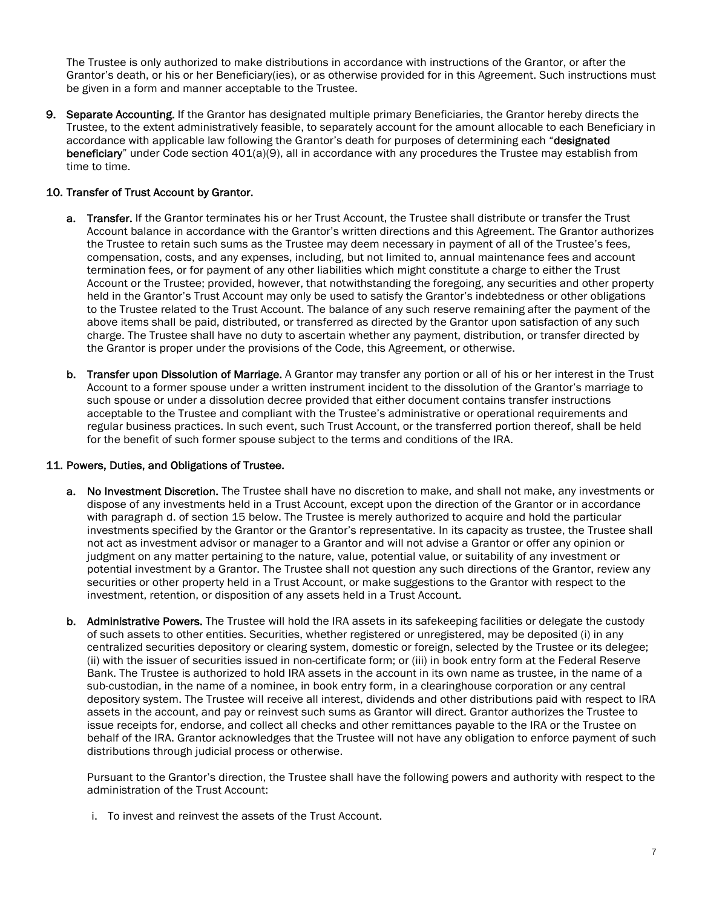The Trustee is only authorized to make distributions in accordance with instructions of the Grantor, or after the Grantor's death, or his or her Beneficiary(ies), or as otherwise provided for in this Agreement. Such instructions must be given in a form and manner acceptable to the Trustee.

9. Separate Accounting. If the Grantor has designated multiple primary Beneficiaries, the Grantor hereby directs the Trustee, to the extent administratively feasible, to separately account for the amount allocable to each Beneficiary in accordance with applicable law following the Grantor's death for purposes of determining each "designated beneficiary" under Code section 401(a)(9), all in accordance with any procedures the Trustee may establish from time to time.

#### 10. Transfer of Trust Account by Grantor.

- a. Transfer. If the Grantor terminates his or her Trust Account, the Trustee shall distribute or transfer the Trust Account balance in accordance with the Grantor's written directions and this Agreement. The Grantor authorizes the Trustee to retain such sums as the Trustee may deem necessary in payment of all of the Trustee's fees, compensation, costs, and any expenses, including, but not limited to, annual maintenance fees and account termination fees, or for payment of any other liabilities which might constitute a charge to either the Trust Account or the Trustee; provided, however, that notwithstanding the foregoing, any securities and other property held in the Grantor's Trust Account may only be used to satisfy the Grantor's indebtedness or other obligations to the Trustee related to the Trust Account. The balance of any such reserve remaining after the payment of the above items shall be paid, distributed, or transferred as directed by the Grantor upon satisfaction of any such charge. The Trustee shall have no duty to ascertain whether any payment, distribution, or transfer directed by the Grantor is proper under the provisions of the Code, this Agreement, or otherwise.
- b. Transfer upon Dissolution of Marriage. A Grantor may transfer any portion or all of his or her interest in the Trust Account to a former spouse under a written instrument incident to the dissolution of the Grantor's marriage to such spouse or under a dissolution decree provided that either document contains transfer instructions acceptable to the Trustee and compliant with the Trustee's administrative or operational requirements and regular business practices. In such event, such Trust Account, or the transferred portion thereof, shall be held for the benefit of such former spouse subject to the terms and conditions of the IRA.

#### 11. Powers, Duties, and Obligations of Trustee.

- a. No Investment Discretion. The Trustee shall have no discretion to make, and shall not make, any investments or dispose of any investments held in a Trust Account, except upon the direction of the Grantor or in accordance with paragraph d. of section 15 below. The Trustee is merely authorized to acquire and hold the particular investments specified by the Grantor or the Grantor's representative. In its capacity as trustee, the Trustee shall not act as investment advisor or manager to a Grantor and will not advise a Grantor or offer any opinion or judgment on any matter pertaining to the nature, value, potential value, or suitability of any investment or potential investment by a Grantor. The Trustee shall not question any such directions of the Grantor, review any securities or other property held in a Trust Account, or make suggestions to the Grantor with respect to the investment, retention, or disposition of any assets held in a Trust Account.
- b. Administrative Powers. The Trustee will hold the IRA assets in its safekeeping facilities or delegate the custody of such assets to other entities. Securities, whether registered or unregistered, may be deposited (i) in any centralized securities depository or clearing system, domestic or foreign, selected by the Trustee or its delegee; (ii) with the issuer of securities issued in non-certificate form; or (iii) in book entry form at the Federal Reserve Bank. The Trustee is authorized to hold IRA assets in the account in its own name as trustee, in the name of a sub-custodian, in the name of a nominee, in book entry form, in a clearinghouse corporation or any central depository system. The Trustee will receive all interest, dividends and other distributions paid with respect to IRA assets in the account, and pay or reinvest such sums as Grantor will direct. Grantor authorizes the Trustee to issue receipts for, endorse, and collect all checks and other remittances payable to the IRA or the Trustee on behalf of the IRA. Grantor acknowledges that the Trustee will not have any obligation to enforce payment of such distributions through judicial process or otherwise.

Pursuant to the Grantor's direction, the Trustee shall have the following powers and authority with respect to the administration of the Trust Account:

i. To invest and reinvest the assets of the Trust Account.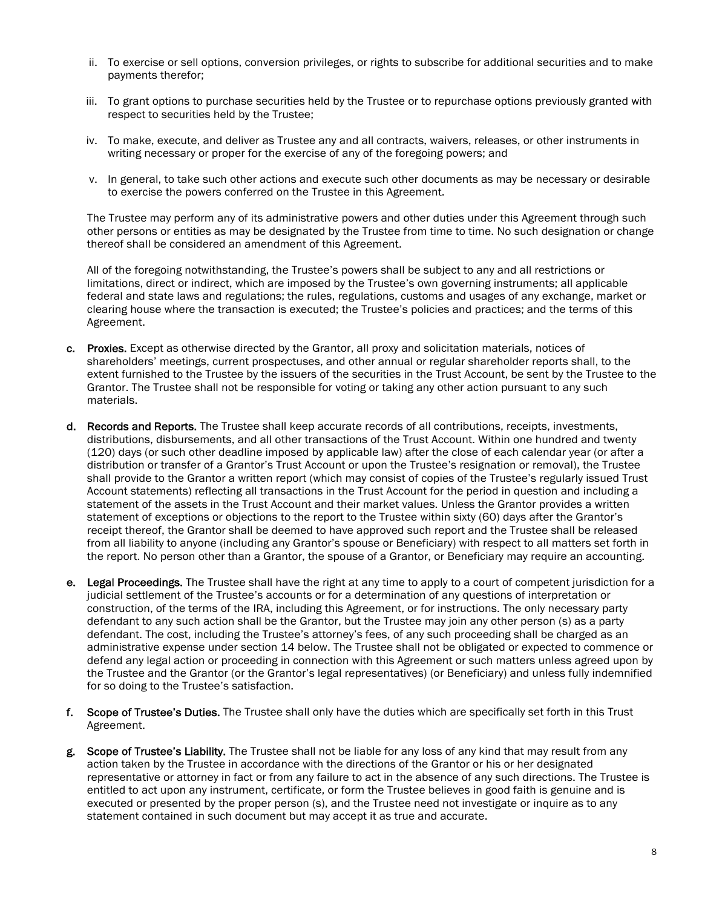- ii. To exercise or sell options, conversion privileges, or rights to subscribe for additional securities and to make payments therefor;
- iii. To grant options to purchase securities held by the Trustee or to repurchase options previously granted with respect to securities held by the Trustee;
- iv. To make, execute, and deliver as Trustee any and all contracts, waivers, releases, or other instruments in writing necessary or proper for the exercise of any of the foregoing powers; and
- v. In general, to take such other actions and execute such other documents as may be necessary or desirable to exercise the powers conferred on the Trustee in this Agreement.

The Trustee may perform any of its administrative powers and other duties under this Agreement through such other persons or entities as may be designated by the Trustee from time to time. No such designation or change thereof shall be considered an amendment of this Agreement.

All of the foregoing notwithstanding, the Trustee's powers shall be subject to any and all restrictions or limitations, direct or indirect, which are imposed by the Trustee's own governing instruments; all applicable federal and state laws and regulations; the rules, regulations, customs and usages of any exchange, market or clearing house where the transaction is executed; the Trustee's policies and practices; and the terms of this Agreement.

- c. Proxies. Except as otherwise directed by the Grantor, all proxy and solicitation materials, notices of shareholders' meetings, current prospectuses, and other annual or regular shareholder reports shall, to the extent furnished to the Trustee by the issuers of the securities in the Trust Account, be sent by the Trustee to the Grantor. The Trustee shall not be responsible for voting or taking any other action pursuant to any such materials.
- d. Records and Reports. The Trustee shall keep accurate records of all contributions, receipts, investments, distributions, disbursements, and all other transactions of the Trust Account. Within one hundred and twenty (120) days (or such other deadline imposed by applicable law) after the close of each calendar year (or after a distribution or transfer of a Grantor's Trust Account or upon the Trustee's resignation or removal), the Trustee shall provide to the Grantor a written report (which may consist of copies of the Trustee's regularly issued Trust Account statements) reflecting all transactions in the Trust Account for the period in question and including a statement of the assets in the Trust Account and their market values. Unless the Grantor provides a written statement of exceptions or objections to the report to the Trustee within sixty (60) days after the Grantor's receipt thereof, the Grantor shall be deemed to have approved such report and the Trustee shall be released from all liability to anyone (including any Grantor's spouse or Beneficiary) with respect to all matters set forth in the report. No person other than a Grantor, the spouse of a Grantor, or Beneficiary may require an accounting.
- e. Legal Proceedings. The Trustee shall have the right at any time to apply to a court of competent jurisdiction for a judicial settlement of the Trustee's accounts or for a determination of any questions of interpretation or construction, of the terms of the IRA, including this Agreement, or for instructions. The only necessary party defendant to any such action shall be the Grantor, but the Trustee may join any other person (s) as a party defendant. The cost, including the Trustee's attorney's fees, of any such proceeding shall be charged as an administrative expense under section 14 below. The Trustee shall not be obligated or expected to commence or defend any legal action or proceeding in connection with this Agreement or such matters unless agreed upon by the Trustee and the Grantor (or the Grantor's legal representatives) (or Beneficiary) and unless fully indemnified for so doing to the Trustee's satisfaction.
- f. Scope of Trustee's Duties. The Trustee shall only have the duties which are specifically set forth in this Trust Agreement.
- g. Scope of Trustee's Liability. The Trustee shall not be liable for any loss of any kind that may result from any action taken by the Trustee in accordance with the directions of the Grantor or his or her designated representative or attorney in fact or from any failure to act in the absence of any such directions. The Trustee is entitled to act upon any instrument, certificate, or form the Trustee believes in good faith is genuine and is executed or presented by the proper person (s), and the Trustee need not investigate or inquire as to any statement contained in such document but may accept it as true and accurate.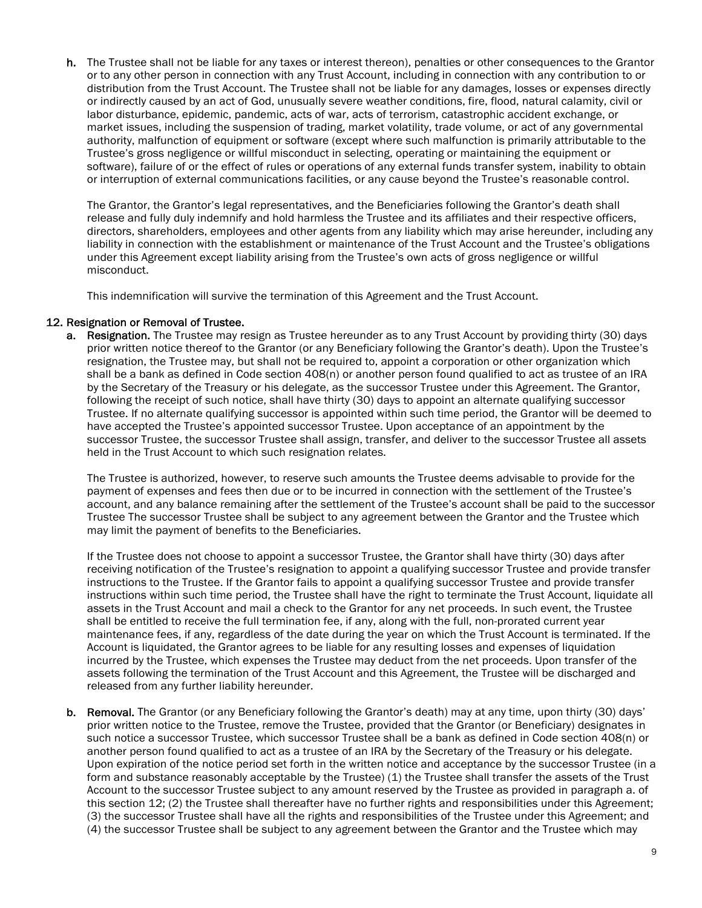h. The Trustee shall not be liable for any taxes or interest thereon), penalties or other consequences to the Grantor or to any other person in connection with any Trust Account, including in connection with any contribution to or distribution from the Trust Account. The Trustee shall not be liable for any damages, losses or expenses directly or indirectly caused by an act of God, unusually severe weather conditions, fire, flood, natural calamity, civil or labor disturbance, epidemic, pandemic, acts of war, acts of terrorism, catastrophic accident exchange, or market issues, including the suspension of trading, market volatility, trade volume, or act of any governmental authority, malfunction of equipment or software (except where such malfunction is primarily attributable to the Trustee's gross negligence or willful misconduct in selecting, operating or maintaining the equipment or software), failure of or the effect of rules or operations of any external funds transfer system, inability to obtain or interruption of external communications facilities, or any cause beyond the Trustee's reasonable control.

The Grantor, the Grantor's legal representatives, and the Beneficiaries following the Grantor's death shall release and fully duly indemnify and hold harmless the Trustee and its affiliates and their respective officers, directors, shareholders, employees and other agents from any liability which may arise hereunder, including any liability in connection with the establishment or maintenance of the Trust Account and the Trustee's obligations under this Agreement except liability arising from the Trustee's own acts of gross negligence or willful misconduct.

This indemnification will survive the termination of this Agreement and the Trust Account.

#### 12. Resignation or Removal of Trustee.

a. Resignation. The Trustee may resign as Trustee hereunder as to any Trust Account by providing thirty (30) days prior written notice thereof to the Grantor (or any Beneficiary following the Grantor's death). Upon the Trustee's resignation, the Trustee may, but shall not be required to, appoint a corporation or other organization which shall be a bank as defined in Code section 408(n) or another person found qualified to act as trustee of an IRA by the Secretary of the Treasury or his delegate, as the successor Trustee under this Agreement. The Grantor, following the receipt of such notice, shall have thirty (30) days to appoint an alternate qualifying successor Trustee. If no alternate qualifying successor is appointed within such time period, the Grantor will be deemed to have accepted the Trustee's appointed successor Trustee. Upon acceptance of an appointment by the successor Trustee, the successor Trustee shall assign, transfer, and deliver to the successor Trustee all assets held in the Trust Account to which such resignation relates.

The Trustee is authorized, however, to reserve such amounts the Trustee deems advisable to provide for the payment of expenses and fees then due or to be incurred in connection with the settlement of the Trustee's account, and any balance remaining after the settlement of the Trustee's account shall be paid to the successor Trustee The successor Trustee shall be subject to any agreement between the Grantor and the Trustee which may limit the payment of benefits to the Beneficiaries.

If the Trustee does not choose to appoint a successor Trustee, the Grantor shall have thirty (30) days after receiving notification of the Trustee's resignation to appoint a qualifying successor Trustee and provide transfer instructions to the Trustee. If the Grantor fails to appoint a qualifying successor Trustee and provide transfer instructions within such time period, the Trustee shall have the right to terminate the Trust Account, liquidate all assets in the Trust Account and mail a check to the Grantor for any net proceeds. In such event, the Trustee shall be entitled to receive the full termination fee, if any, along with the full, non-prorated current year maintenance fees, if any, regardless of the date during the year on which the Trust Account is terminated. If the Account is liquidated, the Grantor agrees to be liable for any resulting losses and expenses of liquidation incurred by the Trustee, which expenses the Trustee may deduct from the net proceeds. Upon transfer of the assets following the termination of the Trust Account and this Agreement, the Trustee will be discharged and released from any further liability hereunder.

b. Removal. The Grantor (or any Beneficiary following the Grantor's death) may at any time, upon thirty (30) days' prior written notice to the Trustee, remove the Trustee, provided that the Grantor (or Beneficiary) designates in such notice a successor Trustee, which successor Trustee shall be a bank as defined in Code section 408(n) or another person found qualified to act as a trustee of an IRA by the Secretary of the Treasury or his delegate. Upon expiration of the notice period set forth in the written notice and acceptance by the successor Trustee (in a form and substance reasonably acceptable by the Trustee) (1) the Trustee shall transfer the assets of the Trust Account to the successor Trustee subject to any amount reserved by the Trustee as provided in paragraph a. of this section 12; (2) the Trustee shall thereafter have no further rights and responsibilities under this Agreement; (3) the successor Trustee shall have all the rights and responsibilities of the Trustee under this Agreement; and (4) the successor Trustee shall be subject to any agreement between the Grantor and the Trustee which may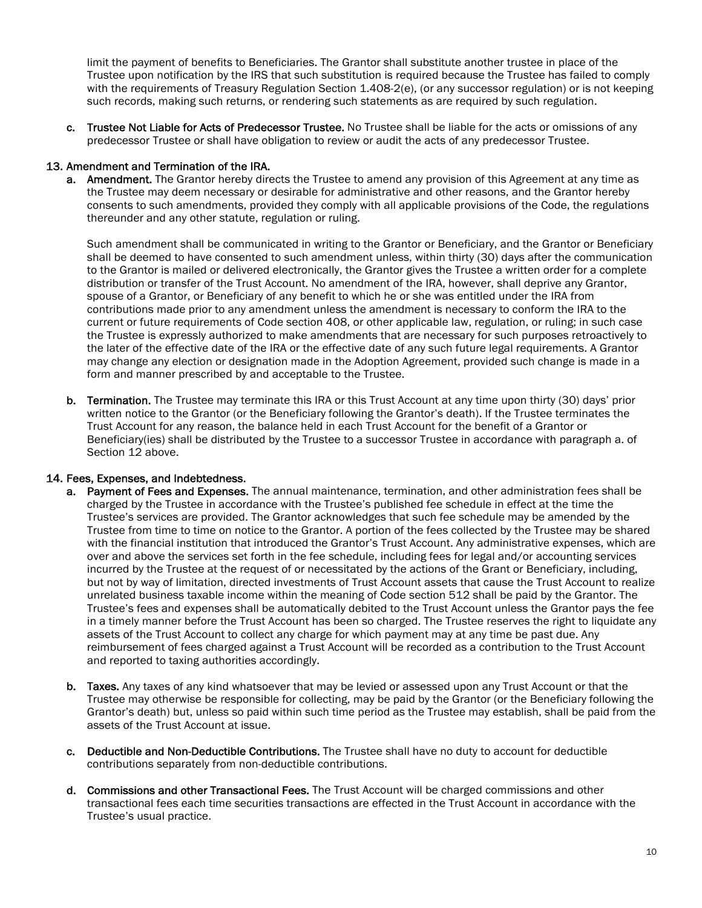limit the payment of benefits to Beneficiaries. The Grantor shall substitute another trustee in place of the Trustee upon notification by the IRS that such substitution is required because the Trustee has failed to comply with the requirements of Treasury Regulation Section 1.408-2(e), (or any successor regulation) or is not keeping such records, making such returns, or rendering such statements as are required by such regulation.

c. Trustee Not Liable for Acts of Predecessor Trustee. No Trustee shall be liable for the acts or omissions of any predecessor Trustee or shall have obligation to review or audit the acts of any predecessor Trustee.

#### 13. Amendment and Termination of the IRA.

a. Amendment. The Grantor hereby directs the Trustee to amend any provision of this Agreement at any time as the Trustee may deem necessary or desirable for administrative and other reasons, and the Grantor hereby consents to such amendments, provided they comply with all applicable provisions of the Code, the regulations thereunder and any other statute, regulation or ruling.

Such amendment shall be communicated in writing to the Grantor or Beneficiary, and the Grantor or Beneficiary shall be deemed to have consented to such amendment unless, within thirty (30) days after the communication to the Grantor is mailed or delivered electronically, the Grantor gives the Trustee a written order for a complete distribution or transfer of the Trust Account. No amendment of the IRA, however, shall deprive any Grantor, spouse of a Grantor, or Beneficiary of any benefit to which he or she was entitled under the IRA from contributions made prior to any amendment unless the amendment is necessary to conform the IRA to the current or future requirements of Code section 408, or other applicable law, regulation, or ruling; in such case the Trustee is expressly authorized to make amendments that are necessary for such purposes retroactively to the later of the effective date of the IRA or the effective date of any such future legal requirements. A Grantor may change any election or designation made in the Adoption Agreement, provided such change is made in a form and manner prescribed by and acceptable to the Trustee.

b. Termination. The Trustee may terminate this IRA or this Trust Account at any time upon thirty (30) days' prior written notice to the Grantor (or the Beneficiary following the Grantor's death). If the Trustee terminates the Trust Account for any reason, the balance held in each Trust Account for the benefit of a Grantor or Beneficiary(ies) shall be distributed by the Trustee to a successor Trustee in accordance with paragraph a. of Section 12 above.

#### 14. Fees, Expenses, and Indebtedness.

- a. Payment of Fees and Expenses. The annual maintenance, termination, and other administration fees shall be charged by the Trustee in accordance with the Trustee's published fee schedule in effect at the time the Trustee's services are provided. The Grantor acknowledges that such fee schedule may be amended by the Trustee from time to time on notice to the Grantor. A portion of the fees collected by the Trustee may be shared with the financial institution that introduced the Grantor's Trust Account. Any administrative expenses, which are over and above the services set forth in the fee schedule, including fees for legal and/or accounting services incurred by the Trustee at the request of or necessitated by the actions of the Grant or Beneficiary, including, but not by way of limitation, directed investments of Trust Account assets that cause the Trust Account to realize unrelated business taxable income within the meaning of Code section 512 shall be paid by the Grantor. The Trustee's fees and expenses shall be automatically debited to the Trust Account unless the Grantor pays the fee in a timely manner before the Trust Account has been so charged. The Trustee reserves the right to liquidate any assets of the Trust Account to collect any charge for which payment may at any time be past due. Any reimbursement of fees charged against a Trust Account will be recorded as a contribution to the Trust Account and reported to taxing authorities accordingly.
- b. Taxes. Any taxes of any kind whatsoever that may be levied or assessed upon any Trust Account or that the Trustee may otherwise be responsible for collecting, may be paid by the Grantor (or the Beneficiary following the Grantor's death) but, unless so paid within such time period as the Trustee may establish, shall be paid from the assets of the Trust Account at issue.
- c. Deductible and Non-Deductible Contributions. The Trustee shall have no duty to account for deductible contributions separately from non-deductible contributions.
- d. Commissions and other Transactional Fees. The Trust Account will be charged commissions and other transactional fees each time securities transactions are effected in the Trust Account in accordance with the Trustee's usual practice.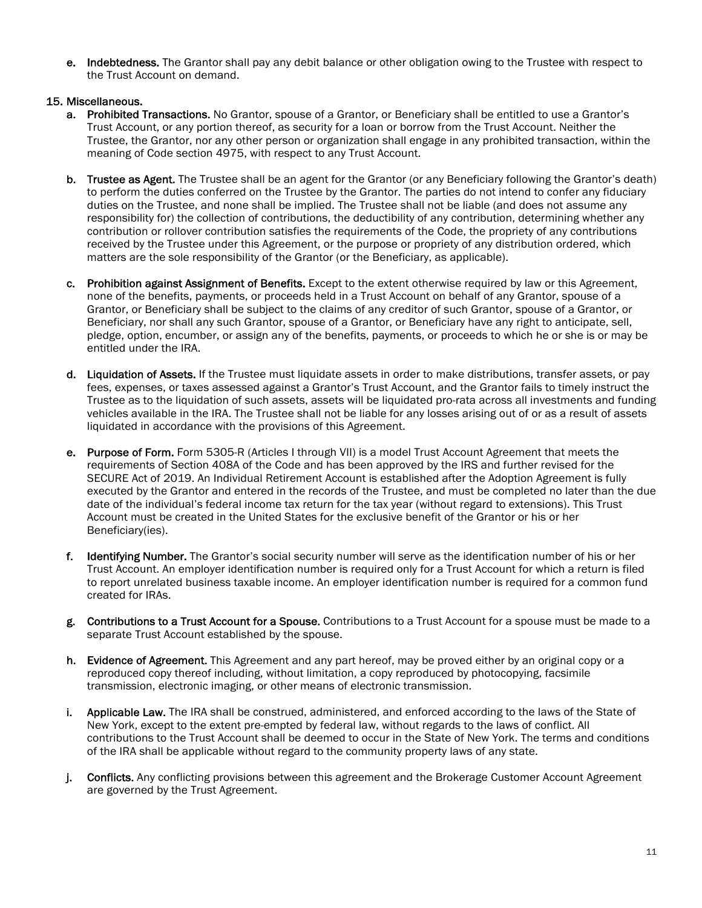e. Indebtedness. The Grantor shall pay any debit balance or other obligation owing to the Trustee with respect to the Trust Account on demand.

#### 15. Miscellaneous.

- a. Prohibited Transactions. No Grantor, spouse of a Grantor, or Beneficiary shall be entitled to use a Grantor's Trust Account, or any portion thereof, as security for a loan or borrow from the Trust Account. Neither the Trustee, the Grantor, nor any other person or organization shall engage in any prohibited transaction, within the meaning of Code section 4975, with respect to any Trust Account.
- b. Trustee as Agent. The Trustee shall be an agent for the Grantor (or any Beneficiary following the Grantor's death) to perform the duties conferred on the Trustee by the Grantor. The parties do not intend to confer any fiduciary duties on the Trustee, and none shall be implied. The Trustee shall not be liable (and does not assume any responsibility for) the collection of contributions, the deductibility of any contribution, determining whether any contribution or rollover contribution satisfies the requirements of the Code, the propriety of any contributions received by the Trustee under this Agreement, or the purpose or propriety of any distribution ordered, which matters are the sole responsibility of the Grantor (or the Beneficiary, as applicable).
- c. Prohibition against Assignment of Benefits. Except to the extent otherwise required by law or this Agreement, none of the benefits, payments, or proceeds held in a Trust Account on behalf of any Grantor, spouse of a Grantor, or Beneficiary shall be subject to the claims of any creditor of such Grantor, spouse of a Grantor, or Beneficiary, nor shall any such Grantor, spouse of a Grantor, or Beneficiary have any right to anticipate, sell, pledge, option, encumber, or assign any of the benefits, payments, or proceeds to which he or she is or may be entitled under the IRA.
- d. Liquidation of Assets. If the Trustee must liquidate assets in order to make distributions, transfer assets, or pay fees, expenses, or taxes assessed against a Grantor's Trust Account, and the Grantor fails to timely instruct the Trustee as to the liquidation of such assets, assets will be liquidated pro-rata across all investments and funding vehicles available in the IRA. The Trustee shall not be liable for any losses arising out of or as a result of assets liquidated in accordance with the provisions of this Agreement.
- e. Purpose of Form. Form 5305-R (Articles I through VII) is a model Trust Account Agreement that meets the requirements of Section 408A of the Code and has been approved by the IRS and further revised for the SECURE Act of 2019. An Individual Retirement Account is established after the Adoption Agreement is fully executed by the Grantor and entered in the records of the Trustee, and must be completed no later than the due date of the individual's federal income tax return for the tax year (without regard to extensions). This Trust Account must be created in the United States for the exclusive benefit of the Grantor or his or her Beneficiary(ies).
- f. Identifying Number. The Grantor's social security number will serve as the identification number of his or her Trust Account. An employer identification number is required only for a Trust Account for which a return is filed to report unrelated business taxable income. An employer identification number is required for a common fund created for IRAs.
- g. Contributions to a Trust Account for a Spouse. Contributions to a Trust Account for a spouse must be made to a separate Trust Account established by the spouse.
- h. Evidence of Agreement. This Agreement and any part hereof, may be proved either by an original copy or a reproduced copy thereof including, without limitation, a copy reproduced by photocopying, facsimile transmission, electronic imaging, or other means of electronic transmission.
- i. Applicable Law. The IRA shall be construed, administered, and enforced according to the laws of the State of New York, except to the extent pre-empted by federal law, without regards to the laws of conflict. All contributions to the Trust Account shall be deemed to occur in the State of New York. The terms and conditions of the IRA shall be applicable without regard to the community property laws of any state.
- j. Conflicts. Any conflicting provisions between this agreement and the Brokerage Customer Account Agreement are governed by the Trust Agreement.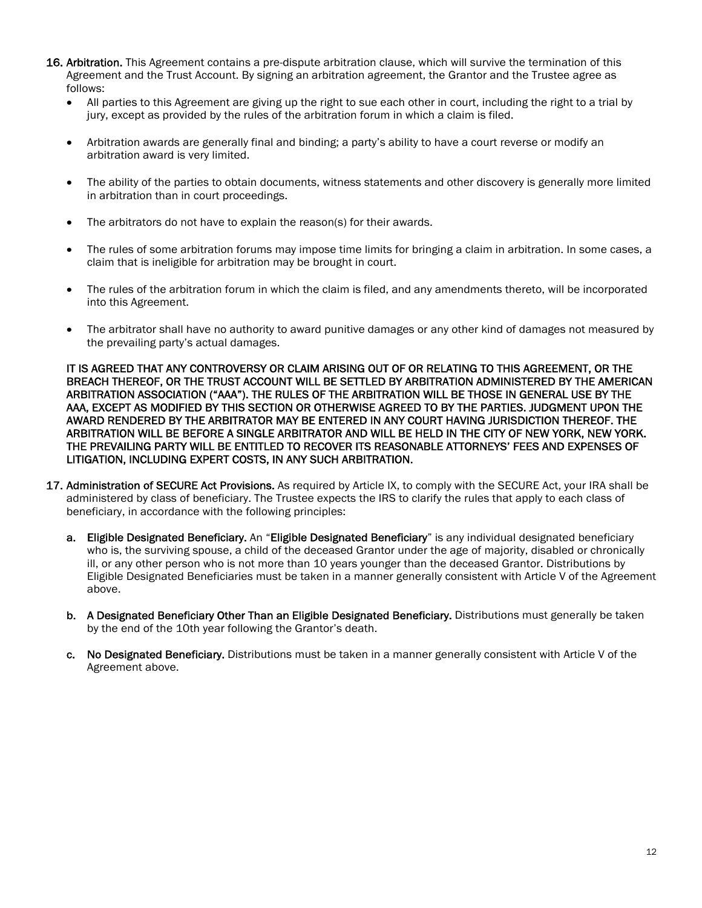- 16. Arbitration. This Agreement contains a pre-dispute arbitration clause, which will survive the termination of this Agreement and the Trust Account. By signing an arbitration agreement, the Grantor and the Trustee agree as follows:
	- All parties to this Agreement are giving up the right to sue each other in court, including the right to a trial by jury, except as provided by the rules of the arbitration forum in which a claim is filed.
	- Arbitration awards are generally final and binding; a party's ability to have a court reverse or modify an arbitration award is very limited.
	- The ability of the parties to obtain documents, witness statements and other discovery is generally more limited in arbitration than in court proceedings.
	- The arbitrators do not have to explain the reason(s) for their awards.
	- The rules of some arbitration forums may impose time limits for bringing a claim in arbitration. In some cases, a claim that is ineligible for arbitration may be brought in court.
	- The rules of the arbitration forum in which the claim is filed, and any amendments thereto, will be incorporated into this Agreement.
	- The arbitrator shall have no authority to award punitive damages or any other kind of damages not measured by the prevailing party's actual damages.

IT IS AGREED THAT ANY CONTROVERSY OR CLAIM ARISING OUT OF OR RELATING TO THIS AGREEMENT, OR THE BREACH THEREOF, OR THE TRUST ACCOUNT WILL BE SETTLED BY ARBITRATION ADMINISTERED BY THE AMERICAN ARBITRATION ASSOCIATION ("AAA"). THE RULES OF THE ARBITRATION WILL BE THOSE IN GENERAL USE BY THE AAA, EXCEPT AS MODIFIED BY THIS SECTION OR OTHERWISE AGREED TO BY THE PARTIES. JUDGMENT UPON THE AWARD RENDERED BY THE ARBITRATOR MAY BE ENTERED IN ANY COURT HAVING JURISDICTION THEREOF. THE ARBITRATION WILL BE BEFORE A SINGLE ARBITRATOR AND WILL BE HELD IN THE CITY OF NEW YORK, NEW YORK. THE PREVAILING PARTY WILL BE ENTITLED TO RECOVER ITS REASONABLE ATTORNEYS' FEES AND EXPENSES OF LITIGATION, INCLUDING EXPERT COSTS, IN ANY SUCH ARBITRATION.

- 17. Administration of SECURE Act Provisions. As required by Article IX, to comply with the SECURE Act, your IRA shall be administered by class of beneficiary. The Trustee expects the IRS to clarify the rules that apply to each class of beneficiary, in accordance with the following principles:
	- a. Eligible Designated Beneficiary. An "Eligible Designated Beneficiary" is any individual designated beneficiary who is, the surviving spouse, a child of the deceased Grantor under the age of majority, disabled or chronically ill, or any other person who is not more than 10 years younger than the deceased Grantor. Distributions by Eligible Designated Beneficiaries must be taken in a manner generally consistent with Article V of the Agreement above.
	- b. A Designated Beneficiary Other Than an Eligible Designated Beneficiary. Distributions must generally be taken by the end of the 10th year following the Grantor's death.
	- c. No Designated Beneficiary. Distributions must be taken in a manner generally consistent with Article V of the Agreement above.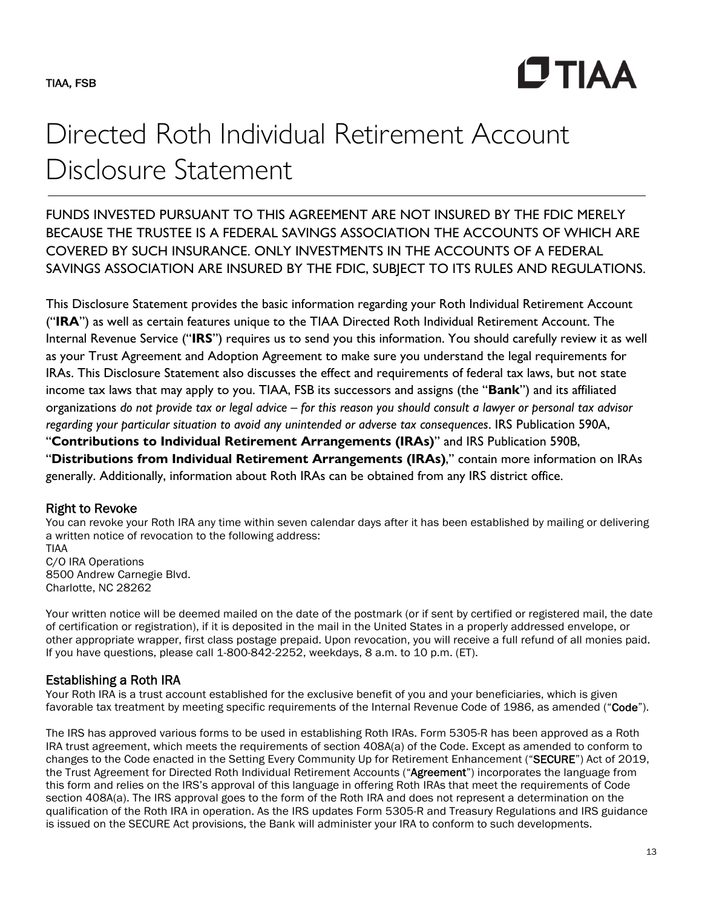**CTIAA** 

# Directed Roth Individual Retirement Account Disclosure Statement

FUNDS INVESTED PURSUANT TO THIS AGREEMENT ARE NOT INSURED BY THE FDIC MERELY BECAUSE THE TRUSTEE IS A FEDERAL SAVINGS ASSOCIATION THE ACCOUNTS OF WHICH ARE COVERED BY SUCH INSURANCE. ONLY INVESTMENTS IN THE ACCOUNTS OF A FEDERAL SAVINGS ASSOCIATION ARE INSURED BY THE FDIC, SUBJECT TO ITS RULES AND REGULATIONS.

This Disclosure Statement provides the basic information regarding your Roth Individual Retirement Account ("**IRA**") as well as certain features unique to the TIAA Directed Roth Individual Retirement Account. The Internal Revenue Service ("**IRS**") requires us to send you this information. You should carefully review it as well as your Trust Agreement and Adoption Agreement to make sure you understand the legal requirements for IRAs. This Disclosure Statement also discusses the effect and requirements of federal tax laws, but not state income tax laws that may apply to you. TIAA, FSB its successors and assigns (the "**Bank**") and its affiliated organizations *do not provide tax or legal advice – for this reason you should consult a lawyer or personal tax advisor regarding your particular situation to avoid any unintended or adverse tax consequences*. IRS Publication 590A, "**Contributions to Individual Retirement Arrangements (IRAs)**" and IRS Publication 590B,

"**Distributions from Individual Retirement Arrangements (IRAs)**," contain more information on IRAs generally. Additionally, information about Roth IRAs can be obtained from any IRS district office.

# Right to Revoke

You can revoke your Roth IRA any time within seven calendar days after it has been established by mailing or delivering a written notice of revocation to the following address: TIAA

C/O IRA Operations 8500 Andrew Carnegie Blvd. Charlotte, NC 28262

Your written notice will be deemed mailed on the date of the postmark (or if sent by certified or registered mail, the date of certification or registration), if it is deposited in the mail in the United States in a properly addressed envelope, or other appropriate wrapper, first class postage prepaid. Upon revocation, you will receive a full refund of all monies paid. If you have questions, please call 1-800-842-2252, weekdays, 8 a.m. to 10 p.m. (ET).

# Establishing a Roth IRA

Your Roth IRA is a trust account established for the exclusive benefit of you and your beneficiaries, which is given favorable tax treatment by meeting specific requirements of the Internal Revenue Code of 1986, as amended ("Code").

The IRS has approved various forms to be used in establishing Roth IRAs. Form 5305-R has been approved as a Roth IRA trust agreement, which meets the requirements of section 408A(a) of the Code. Except as amended to conform to changes to the Code enacted in the Setting Every Community Up for Retirement Enhancement ("SECURE") Act of 2019, the Trust Agreement for Directed Roth Individual Retirement Accounts ("Agreement") incorporates the language from this form and relies on the IRS's approval of this language in offering Roth IRAs that meet the requirements of Code section 408A(a). The IRS approval goes to the form of the Roth IRA and does not represent a determination on the qualification of the Roth IRA in operation. As the IRS updates Form 5305-R and Treasury Regulations and IRS guidance is issued on the SECURE Act provisions, the Bank will administer your IRA to conform to such developments.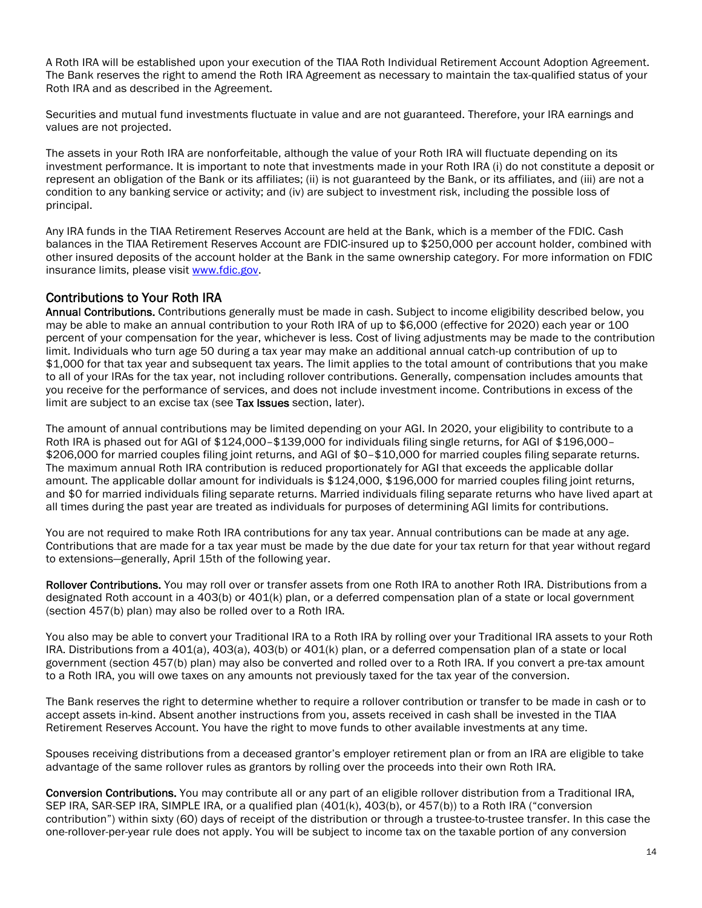A Roth IRA will be established upon your execution of the TIAA Roth Individual Retirement Account Adoption Agreement. The Bank reserves the right to amend the Roth IRA Agreement as necessary to maintain the tax-qualified status of your Roth IRA and as described in the Agreement.

Securities and mutual fund investments fluctuate in value and are not guaranteed. Therefore, your IRA earnings and values are not projected.

The assets in your Roth IRA are nonforfeitable, although the value of your Roth IRA will fluctuate depending on its investment performance. It is important to note that investments made in your Roth IRA (i) do not constitute a deposit or represent an obligation of the Bank or its affiliates; (ii) is not guaranteed by the Bank, or its affiliates, and (iii) are not a condition to any banking service or activity; and (iv) are subject to investment risk, including the possible loss of principal.

Any IRA funds in the TIAA Retirement Reserves Account are held at the Bank, which is a member of the FDIC. Cash balances in the TIAA Retirement Reserves Account are FDIC-insured up to \$250,000 per account holder, combined with other insured deposits of the account holder at the Bank in the same ownership category. For more information on FDIC insurance limits, please visit www.fdic.gov.

## Contributions to Your Roth IRA

Annual Contributions. Contributions generally must be made in cash. Subject to income eligibility described below, you may be able to make an annual contribution to your Roth IRA of up to \$6,000 (effective for 2020) each year or 100 percent of your compensation for the year, whichever is less. Cost of living adjustments may be made to the contribution limit. Individuals who turn age 50 during a tax year may make an additional annual catch-up contribution of up to \$1,000 for that tax year and subsequent tax years. The limit applies to the total amount of contributions that you make to all of your IRAs for the tax year, not including rollover contributions. Generally, compensation includes amounts that you receive for the performance of services, and does not include investment income. Contributions in excess of the limit are subject to an excise tax (see Tax Issues section, later).

The amount of annual contributions may be limited depending on your AGI. In 2020, your eligibility to contribute to a Roth IRA is phased out for AGI of \$124,000–\$139,000 for individuals filing single returns, for AGI of \$196,000– \$206,000 for married couples filing joint returns, and AGI of \$0–\$10,000 for married couples filing separate returns. The maximum annual Roth IRA contribution is reduced proportionately for AGI that exceeds the applicable dollar amount. The applicable dollar amount for individuals is \$124,000, \$196,000 for married couples filing joint returns, and \$0 for married individuals filing separate returns. Married individuals filing separate returns who have lived apart at all times during the past year are treated as individuals for purposes of determining AGI limits for contributions.

You are not required to make Roth IRA contributions for any tax year. Annual contributions can be made at any age. Contributions that are made for a tax year must be made by the due date for your tax return for that year without regard to extensions—generally, April 15th of the following year.

Rollover Contributions. You may roll over or transfer assets from one Roth IRA to another Roth IRA. Distributions from a designated Roth account in a 403(b) or 401(k) plan, or a deferred compensation plan of a state or local government (section 457(b) plan) may also be rolled over to a Roth IRA.

You also may be able to convert your Traditional IRA to a Roth IRA by rolling over your Traditional IRA assets to your Roth IRA. Distributions from a 401(a), 403(a), 403(b) or 401(k) plan, or a deferred compensation plan of a state or local government (section 457(b) plan) may also be converted and rolled over to a Roth IRA. If you convert a pre-tax amount to a Roth IRA, you will owe taxes on any amounts not previously taxed for the tax year of the conversion.

The Bank reserves the right to determine whether to require a rollover contribution or transfer to be made in cash or to accept assets in-kind. Absent another instructions from you, assets received in cash shall be invested in the TIAA Retirement Reserves Account. You have the right to move funds to other available investments at any time.

Spouses receiving distributions from a deceased grantor's employer retirement plan or from an IRA are eligible to take advantage of the same rollover rules as grantors by rolling over the proceeds into their own Roth IRA.

Conversion Contributions. You may contribute all or any part of an eligible rollover distribution from a Traditional IRA, SEP IRA, SAR-SEP IRA, SIMPLE IRA, or a qualified plan (401(k), 403(b), or 457(b)) to a Roth IRA ("conversion contribution") within sixty (60) days of receipt of the distribution or through a trustee-to-trustee transfer. In this case the one-rollover-per-year rule does not apply. You will be subject to income tax on the taxable portion of any conversion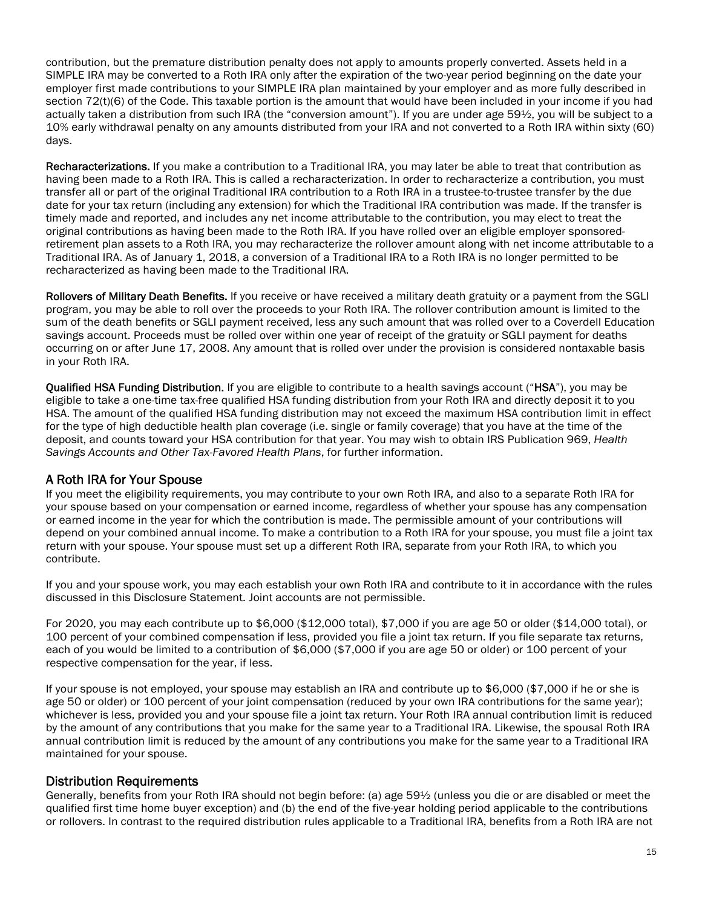contribution, but the premature distribution penalty does not apply to amounts properly converted. Assets held in a SIMPLE IRA may be converted to a Roth IRA only after the expiration of the two-year period beginning on the date your employer first made contributions to your SIMPLE IRA plan maintained by your employer and as more fully described in section 72(t)(6) of the Code. This taxable portion is the amount that would have been included in your income if you had actually taken a distribution from such IRA (the "conversion amount"). If you are under age 59½, you will be subject to a 10% early withdrawal penalty on any amounts distributed from your IRA and not converted to a Roth IRA within sixty (60) days.

Recharacterizations. If you make a contribution to a Traditional IRA, you may later be able to treat that contribution as having been made to a Roth IRA. This is called a recharacterization. In order to recharacterize a contribution, you must transfer all or part of the original Traditional IRA contribution to a Roth IRA in a trustee-to-trustee transfer by the due date for your tax return (including any extension) for which the Traditional IRA contribution was made. If the transfer is timely made and reported, and includes any net income attributable to the contribution, you may elect to treat the original contributions as having been made to the Roth IRA. If you have rolled over an eligible employer sponsoredretirement plan assets to a Roth IRA, you may recharacterize the rollover amount along with net income attributable to a Traditional IRA. As of January 1, 2018, a conversion of a Traditional IRA to a Roth IRA is no longer permitted to be recharacterized as having been made to the Traditional IRA.

Rollovers of Military Death Benefits. If you receive or have received a military death gratuity or a payment from the SGLI program, you may be able to roll over the proceeds to your Roth IRA. The rollover contribution amount is limited to the sum of the death benefits or SGLI payment received, less any such amount that was rolled over to a Coverdell Education savings account. Proceeds must be rolled over within one year of receipt of the gratuity or SGLI payment for deaths occurring on or after June 17, 2008. Any amount that is rolled over under the provision is considered nontaxable basis in your Roth IRA.

Qualified HSA Funding Distribution. If you are eligible to contribute to a health savings account ("HSA"), you may be eligible to take a one-time tax-free qualified HSA funding distribution from your Roth IRA and directly deposit it to you HSA. The amount of the qualified HSA funding distribution may not exceed the maximum HSA contribution limit in effect for the type of high deductible health plan coverage (i.e. single or family coverage) that you have at the time of the deposit, and counts toward your HSA contribution for that year. You may wish to obtain IRS Publication 969, *Health Savings Accounts and Other Tax-Favored Health Plans*, for further information.

## A Roth IRA for Your Spouse

If you meet the eligibility requirements, you may contribute to your own Roth IRA, and also to a separate Roth IRA for your spouse based on your compensation or earned income, regardless of whether your spouse has any compensation or earned income in the year for which the contribution is made. The permissible amount of your contributions will depend on your combined annual income. To make a contribution to a Roth IRA for your spouse, you must file a joint tax return with your spouse. Your spouse must set up a different Roth IRA, separate from your Roth IRA, to which you contribute.

If you and your spouse work, you may each establish your own Roth IRA and contribute to it in accordance with the rules discussed in this Disclosure Statement. Joint accounts are not permissible.

For 2020, you may each contribute up to \$6,000 (\$12,000 total), \$7,000 if you are age 50 or older (\$14,000 total), or 100 percent of your combined compensation if less, provided you file a joint tax return. If you file separate tax returns, each of you would be limited to a contribution of \$6,000 (\$7,000 if you are age 50 or older) or 100 percent of your respective compensation for the year, if less.

If your spouse is not employed, your spouse may establish an IRA and contribute up to \$6,000 (\$7,000 if he or she is age 50 or older) or 100 percent of your joint compensation (reduced by your own IRA contributions for the same year); whichever is less, provided you and your spouse file a joint tax return. Your Roth IRA annual contribution limit is reduced by the amount of any contributions that you make for the same year to a Traditional IRA. Likewise, the spousal Roth IRA annual contribution limit is reduced by the amount of any contributions you make for the same year to a Traditional IRA maintained for your spouse.

## Distribution Requirements

Generally, benefits from your Roth IRA should not begin before: (a) age 59½ (unless you die or are disabled or meet the qualified first time home buyer exception) and (b) the end of the five-year holding period applicable to the contributions or rollovers. In contrast to the required distribution rules applicable to a Traditional IRA, benefits from a Roth IRA are not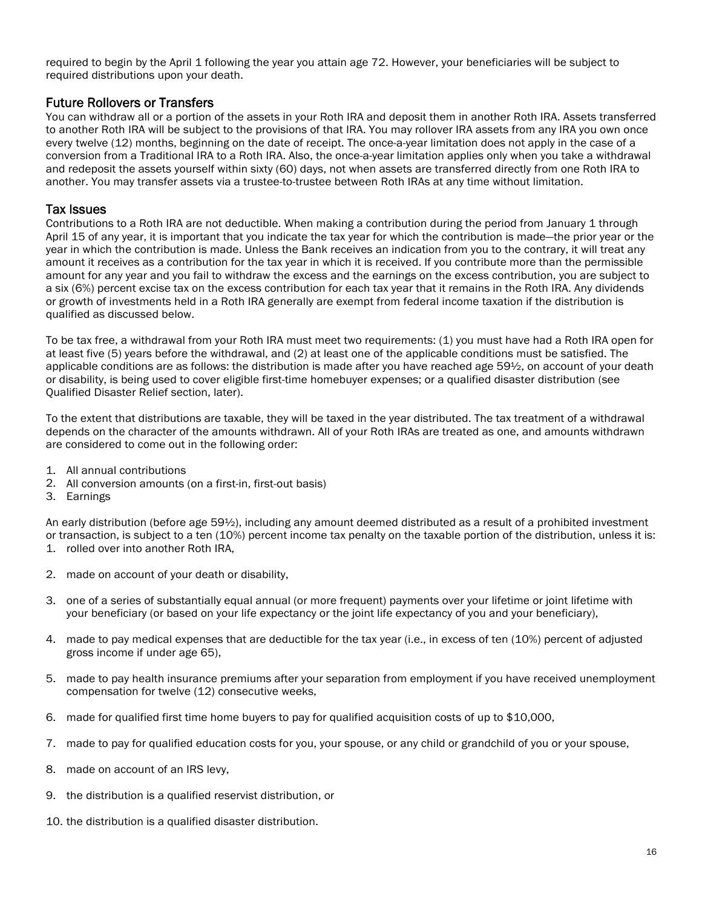required to begin by the April 1 following the year you attain age 72. However, your beneficiaries will be subject to required distributions upon your death.

### Future Rollovers or Transfers

You can withdraw all or a portion of the assets in your Roth IRA and deposit them in another Roth IRA. Assets transferred to another Roth IRA will be subject to the provisions of that IRA. You may rollover IRA assets from any IRA you own once every twelve (12) months, beginning on the date of receipt. The once-a-year limitation does not apply in the case of a conversion from a Traditional IRA to a Roth IRA. Also, the once-a-year limitation applies only when you take a withdrawal and redeposit the assets yourself within sixty (60) days, not when assets are transferred directly from one Roth IRA to another. You may transfer assets via a trustee-to-trustee between Roth IRAs at any time without limitation.

#### Tax Issues

Contributions to a Roth IRA are not deductible. When making a contribution during the period from January 1 through April 15 of any year, it is important that you indicate the tax year for which the contribution is made—the prior year or the year in which the contribution is made. Unless the Bank receives an indication from you to the contrary, it will treat any amount it receives as a contribution for the tax year in which it is received. If you contribute more than the permissible amount for any year and you fail to withdraw the excess and the earnings on the excess contribution, you are subject to a six (6%) percent excise tax on the excess contribution for each tax year that it remains in the Roth IRA. Any dividends or growth of investments held in a Roth IRA generally are exempt from federal income taxation if the distribution is qualified as discussed below.

To be tax free, a withdrawal from your Roth IRA must meet two requirements: (1) you must have had a Roth IRA open for at least five (5) years before the withdrawal, and (2) at least one of the applicable conditions must be satisfied. The applicable conditions are as follows: the distribution is made after you have reached age 59½, on account of your death or disability, is being used to cover eligible first-time homebuyer expenses; or a qualified disaster distribution (see Qualified Disaster Relief section, later).

To the extent that distributions are taxable, they will be taxed in the year distributed. The tax treatment of a withdrawal depends on the character of the amounts withdrawn. All of your Roth IRAs are treated as one, and amounts withdrawn are considered to come out in the following order:

- 1. All annual contributions
- 2. All conversion amounts (on a first-in, first-out basis)
- 3. Earnings

An early distribution (before age 59½), including any amount deemed distributed as a result of a prohibited investment or transaction, is subject to a ten (10%) percent income tax penalty on the taxable portion of the distribution, unless it is: 1. rolled over into another Roth IRA,

- 2. made on account of your death or disability,
- 3. one of a series of substantially equal annual (or more frequent) payments over your lifetime or joint lifetime with your beneficiary (or based on your life expectancy or the joint life expectancy of you and your beneficiary),
- 4. made to pay medical expenses that are deductible for the tax year (i.e., in excess of ten (10%) percent of adjusted gross income if under age 65),
- 5. made to pay health insurance premiums after your separation from employment if you have received unemployment compensation for twelve (12) consecutive weeks,
- 6. made for qualified first time home buyers to pay for qualified acquisition costs of up to \$10,000,
- 7. made to pay for qualified education costs for you, your spouse, or any child or grandchild of you or your spouse,
- 8. made on account of an IRS levy,
- 9. the distribution is a qualified reservist distribution, or
- 10. the distribution is a qualified disaster distribution.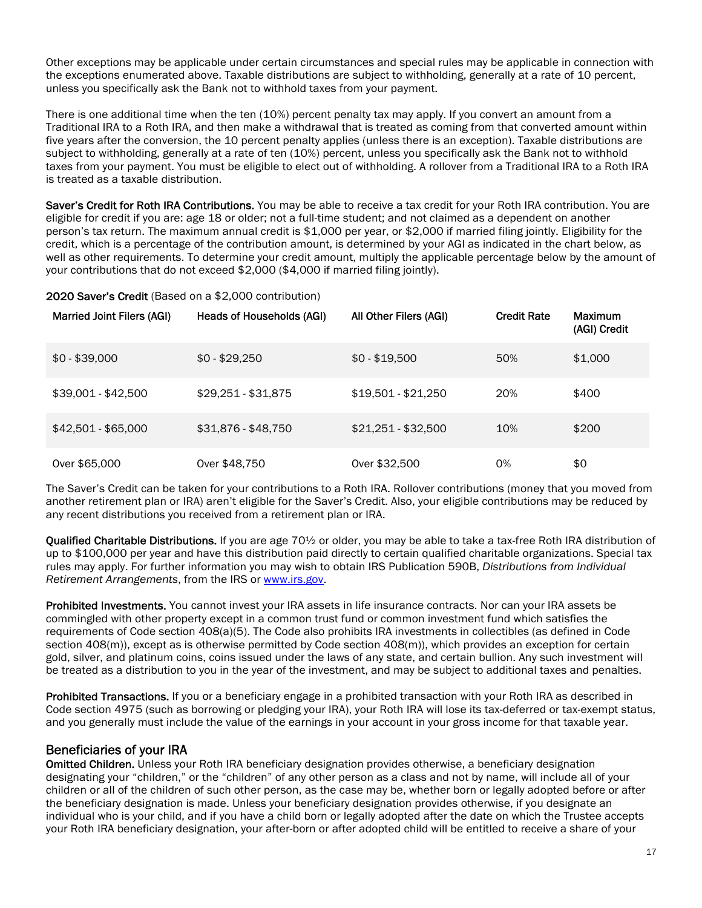Other exceptions may be applicable under certain circumstances and special rules may be applicable in connection with the exceptions enumerated above. Taxable distributions are subject to withholding, generally at a rate of 10 percent, unless you specifically ask the Bank not to withhold taxes from your payment.

There is one additional time when the ten (10%) percent penalty tax may apply. If you convert an amount from a Traditional IRA to a Roth IRA, and then make a withdrawal that is treated as coming from that converted amount within five years after the conversion, the 10 percent penalty applies (unless there is an exception). Taxable distributions are subject to withholding, generally at a rate of ten (10%) percent, unless you specifically ask the Bank not to withhold taxes from your payment. You must be eligible to elect out of withholding. A rollover from a Traditional IRA to a Roth IRA is treated as a taxable distribution.

Saver's Credit for Roth IRA Contributions. You may be able to receive a tax credit for your Roth IRA contribution. You are eligible for credit if you are: age 18 or older; not a full-time student; and not claimed as a dependent on another person's tax return. The maximum annual credit is \$1,000 per year, or \$2,000 if married filing jointly. Eligibility for the credit, which is a percentage of the contribution amount, is determined by your AGI as indicated in the chart below, as well as other requirements. To determine your credit amount, multiply the applicable percentage below by the amount of your contributions that do not exceed \$2,000 (\$4,000 if married filing jointly).

#### 2020 Saver's Credit (Based on a \$2,000 contribution)

| <b>Married Joint Filers (AGI)</b> | Heads of Households (AGI) | All Other Filers (AGI) | <b>Credit Rate</b> | Maximum<br>(AGI) Credit |
|-----------------------------------|---------------------------|------------------------|--------------------|-------------------------|
| $$0 - $39,000$                    | $$0 - $29,250$            | $$0 - $19,500$         | 50%                | \$1,000                 |
| $$39,001 - $42,500$               | $$29,251 - $31,875$       | $$19,501 - $21,250$    | 20%                | \$400                   |
| $$42,501 - $65,000$               | \$31,876 - \$48,750       | $$21,251 - $32,500$    | 10%                | \$200                   |
| Over \$65,000                     | Over \$48,750             | Over \$32,500          | 0%                 | \$0                     |

The Saver's Credit can be taken for your contributions to a Roth IRA. Rollover contributions (money that you moved from another retirement plan or IRA) aren't eligible for the Saver's Credit. Also, your eligible contributions may be reduced by any recent distributions you received from a retirement plan or IRA.

Qualified Charitable Distributions. If you are age 70½ or older, you may be able to take a tax-free Roth IRA distribution of up to \$100,000 per year and have this distribution paid directly to certain qualified charitable organizations. Special tax rules may apply. For further information you may wish to obtain IRS Publication 590B, *Distributions from Individual Retirement Arrangements*, from the IRS or www.irs.gov.

Prohibited Investments. You cannot invest your IRA assets in life insurance contracts. Nor can your IRA assets be commingled with other property except in a common trust fund or common investment fund which satisfies the requirements of Code section 408(a)(5). The Code also prohibits IRA investments in collectibles (as defined in Code section 408(m)), except as is otherwise permitted by Code section 408(m)), which provides an exception for certain gold, silver, and platinum coins, coins issued under the laws of any state, and certain bullion. Any such investment will be treated as a distribution to you in the year of the investment, and may be subject to additional taxes and penalties.

Prohibited Transactions. If you or a beneficiary engage in a prohibited transaction with your Roth IRA as described in Code section 4975 (such as borrowing or pledging your IRA), your Roth IRA will lose its tax-deferred or tax-exempt status, and you generally must include the value of the earnings in your account in your gross income for that taxable year.

## Beneficiaries of your IRA

Omitted Children. Unless your Roth IRA beneficiary designation provides otherwise, a beneficiary designation designating your "children," or the "children" of any other person as a class and not by name, will include all of your children or all of the children of such other person, as the case may be, whether born or legally adopted before or after the beneficiary designation is made. Unless your beneficiary designation provides otherwise, if you designate an individual who is your child, and if you have a child born or legally adopted after the date on which the Trustee accepts your Roth IRA beneficiary designation, your after-born or after adopted child will be entitled to receive a share of your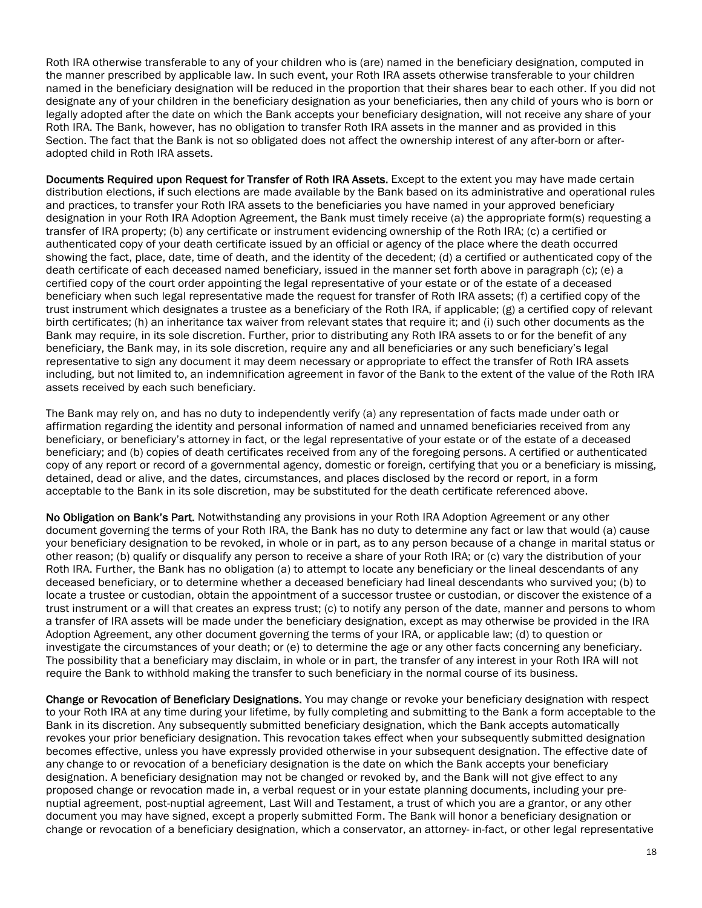Roth IRA otherwise transferable to any of your children who is (are) named in the beneficiary designation, computed in the manner prescribed by applicable law. In such event, your Roth IRA assets otherwise transferable to your children named in the beneficiary designation will be reduced in the proportion that their shares bear to each other. If you did not designate any of your children in the beneficiary designation as your beneficiaries, then any child of yours who is born or legally adopted after the date on which the Bank accepts your beneficiary designation, will not receive any share of your Roth IRA. The Bank, however, has no obligation to transfer Roth IRA assets in the manner and as provided in this Section. The fact that the Bank is not so obligated does not affect the ownership interest of any after-born or afteradopted child in Roth IRA assets.

Documents Required upon Request for Transfer of Roth IRA Assets. Except to the extent you may have made certain distribution elections, if such elections are made available by the Bank based on its administrative and operational rules and practices, to transfer your Roth IRA assets to the beneficiaries you have named in your approved beneficiary designation in your Roth IRA Adoption Agreement, the Bank must timely receive (a) the appropriate form(s) requesting a transfer of IRA property; (b) any certificate or instrument evidencing ownership of the Roth IRA; (c) a certified or authenticated copy of your death certificate issued by an official or agency of the place where the death occurred showing the fact, place, date, time of death, and the identity of the decedent; (d) a certified or authenticated copy of the death certificate of each deceased named beneficiary, issued in the manner set forth above in paragraph (c); (e) a certified copy of the court order appointing the legal representative of your estate or of the estate of a deceased beneficiary when such legal representative made the request for transfer of Roth IRA assets; (f) a certified copy of the trust instrument which designates a trustee as a beneficiary of the Roth IRA, if applicable; (g) a certified copy of relevant birth certificates; (h) an inheritance tax waiver from relevant states that require it; and (i) such other documents as the Bank may require, in its sole discretion. Further, prior to distributing any Roth IRA assets to or for the benefit of any beneficiary, the Bank may, in its sole discretion, require any and all beneficiaries or any such beneficiary's legal representative to sign any document it may deem necessary or appropriate to effect the transfer of Roth IRA assets including, but not limited to, an indemnification agreement in favor of the Bank to the extent of the value of the Roth IRA assets received by each such beneficiary.

The Bank may rely on, and has no duty to independently verify (a) any representation of facts made under oath or affirmation regarding the identity and personal information of named and unnamed beneficiaries received from any beneficiary, or beneficiary's attorney in fact, or the legal representative of your estate or of the estate of a deceased beneficiary; and (b) copies of death certificates received from any of the foregoing persons. A certified or authenticated copy of any report or record of a governmental agency, domestic or foreign, certifying that you or a beneficiary is missing, detained, dead or alive, and the dates, circumstances, and places disclosed by the record or report, in a form acceptable to the Bank in its sole discretion, may be substituted for the death certificate referenced above.

No Obligation on Bank's Part. Notwithstanding any provisions in your Roth IRA Adoption Agreement or any other document governing the terms of your Roth IRA, the Bank has no duty to determine any fact or law that would (a) cause your beneficiary designation to be revoked, in whole or in part, as to any person because of a change in marital status or other reason; (b) qualify or disqualify any person to receive a share of your Roth IRA; or (c) vary the distribution of your Roth IRA. Further, the Bank has no obligation (a) to attempt to locate any beneficiary or the lineal descendants of any deceased beneficiary, or to determine whether a deceased beneficiary had lineal descendants who survived you; (b) to locate a trustee or custodian, obtain the appointment of a successor trustee or custodian, or discover the existence of a trust instrument or a will that creates an express trust; (c) to notify any person of the date, manner and persons to whom a transfer of IRA assets will be made under the beneficiary designation, except as may otherwise be provided in the IRA Adoption Agreement, any other document governing the terms of your IRA, or applicable law; (d) to question or investigate the circumstances of your death; or (e) to determine the age or any other facts concerning any beneficiary. The possibility that a beneficiary may disclaim, in whole or in part, the transfer of any interest in your Roth IRA will not require the Bank to withhold making the transfer to such beneficiary in the normal course of its business.

Change or Revocation of Beneficiary Designations. You may change or revoke your beneficiary designation with respect to your Roth IRA at any time during your lifetime, by fully completing and submitting to the Bank a form acceptable to the Bank in its discretion. Any subsequently submitted beneficiary designation, which the Bank accepts automatically revokes your prior beneficiary designation. This revocation takes effect when your subsequently submitted designation becomes effective, unless you have expressly provided otherwise in your subsequent designation. The effective date of any change to or revocation of a beneficiary designation is the date on which the Bank accepts your beneficiary designation. A beneficiary designation may not be changed or revoked by, and the Bank will not give effect to any proposed change or revocation made in, a verbal request or in your estate planning documents, including your prenuptial agreement, post-nuptial agreement, Last Will and Testament, a trust of which you are a grantor, or any other document you may have signed, except a properly submitted Form. The Bank will honor a beneficiary designation or change or revocation of a beneficiary designation, which a conservator, an attorney- in-fact, or other legal representative